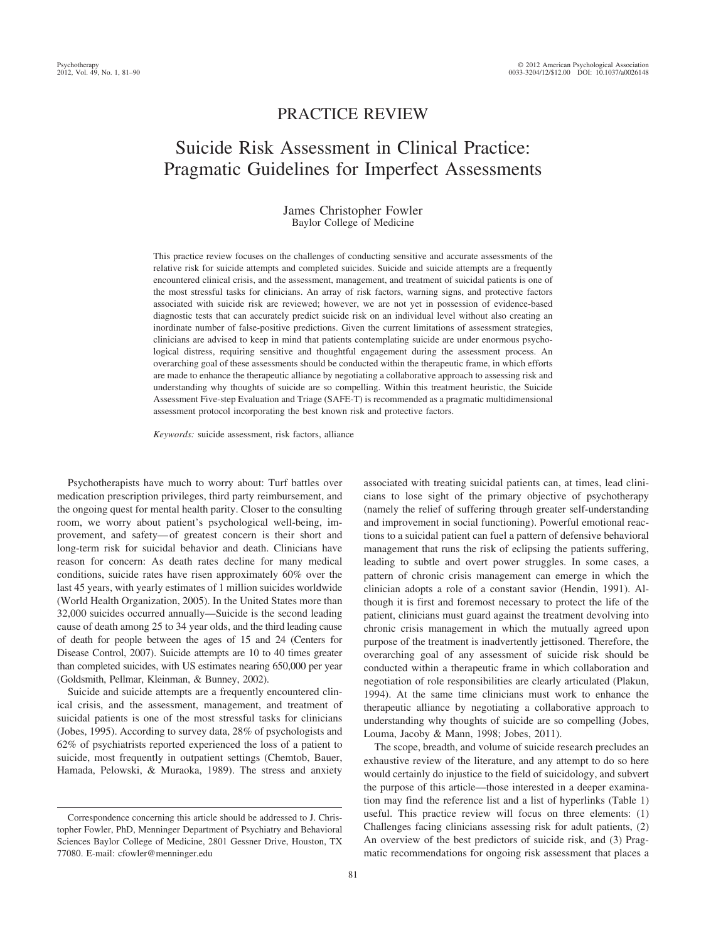# PRACTICE REVIEW

# Suicide Risk Assessment in Clinical Practice: Pragmatic Guidelines for Imperfect Assessments

# James Christopher Fowler Baylor College of Medicine

This practice review focuses on the challenges of conducting sensitive and accurate assessments of the relative risk for suicide attempts and completed suicides. Suicide and suicide attempts are a frequently encountered clinical crisis, and the assessment, management, and treatment of suicidal patients is one of the most stressful tasks for clinicians. An array of risk factors, warning signs, and protective factors associated with suicide risk are reviewed; however, we are not yet in possession of evidence-based diagnostic tests that can accurately predict suicide risk on an individual level without also creating an inordinate number of false-positive predictions. Given the current limitations of assessment strategies, clinicians are advised to keep in mind that patients contemplating suicide are under enormous psychological distress, requiring sensitive and thoughtful engagement during the assessment process. An overarching goal of these assessments should be conducted within the therapeutic frame, in which efforts are made to enhance the therapeutic alliance by negotiating a collaborative approach to assessing risk and understanding why thoughts of suicide are so compelling. Within this treatment heuristic, the Suicide Assessment Five-step Evaluation and Triage (SAFE-T) is recommended as a pragmatic multidimensional assessment protocol incorporating the best known risk and protective factors.

*Keywords:* suicide assessment, risk factors, alliance

Psychotherapists have much to worry about: Turf battles over medication prescription privileges, third party reimbursement, and the ongoing quest for mental health parity. Closer to the consulting room, we worry about patient's psychological well-being, improvement, and safety— of greatest concern is their short and long-term risk for suicidal behavior and death. Clinicians have reason for concern: As death rates decline for many medical conditions, suicide rates have risen approximately 60% over the last 45 years, with yearly estimates of 1 million suicides worldwide (World Health Organization, 2005). In the United States more than 32,000 suicides occurred annually—Suicide is the second leading cause of death among 25 to 34 year olds, and the third leading cause of death for people between the ages of 15 and 24 (Centers for Disease Control, 2007). Suicide attempts are 10 to 40 times greater than completed suicides, with US estimates nearing 650,000 per year (Goldsmith, Pellmar, Kleinman, & Bunney, 2002).

Suicide and suicide attempts are a frequently encountered clinical crisis, and the assessment, management, and treatment of suicidal patients is one of the most stressful tasks for clinicians (Jobes, 1995). According to survey data, 28% of psychologists and 62% of psychiatrists reported experienced the loss of a patient to suicide, most frequently in outpatient settings (Chemtob, Bauer, Hamada, Pelowski, & Muraoka, 1989). The stress and anxiety

associated with treating suicidal patients can, at times, lead clinicians to lose sight of the primary objective of psychotherapy (namely the relief of suffering through greater self-understanding and improvement in social functioning). Powerful emotional reactions to a suicidal patient can fuel a pattern of defensive behavioral management that runs the risk of eclipsing the patients suffering, leading to subtle and overt power struggles. In some cases, a pattern of chronic crisis management can emerge in which the clinician adopts a role of a constant savior (Hendin, 1991). Although it is first and foremost necessary to protect the life of the patient, clinicians must guard against the treatment devolving into chronic crisis management in which the mutually agreed upon purpose of the treatment is inadvertently jettisoned. Therefore, the overarching goal of any assessment of suicide risk should be conducted within a therapeutic frame in which collaboration and negotiation of role responsibilities are clearly articulated (Plakun, 1994). At the same time clinicians must work to enhance the therapeutic alliance by negotiating a collaborative approach to understanding why thoughts of suicide are so compelling (Jobes, Louma, Jacoby & Mann, 1998; Jobes, 2011).

The scope, breadth, and volume of suicide research precludes an exhaustive review of the literature, and any attempt to do so here would certainly do injustice to the field of suicidology, and subvert the purpose of this article—those interested in a deeper examination may find the reference list and a list of hyperlinks (Table 1) useful. This practice review will focus on three elements: (1) Challenges facing clinicians assessing risk for adult patients, (2) An overview of the best predictors of suicide risk, and (3) Pragmatic recommendations for ongoing risk assessment that places a

Correspondence concerning this article should be addressed to J. Christopher Fowler, PhD, Menninger Department of Psychiatry and Behavioral Sciences Baylor College of Medicine, 2801 Gessner Drive, Houston, TX 77080. E-mail: cfowler@menninger.edu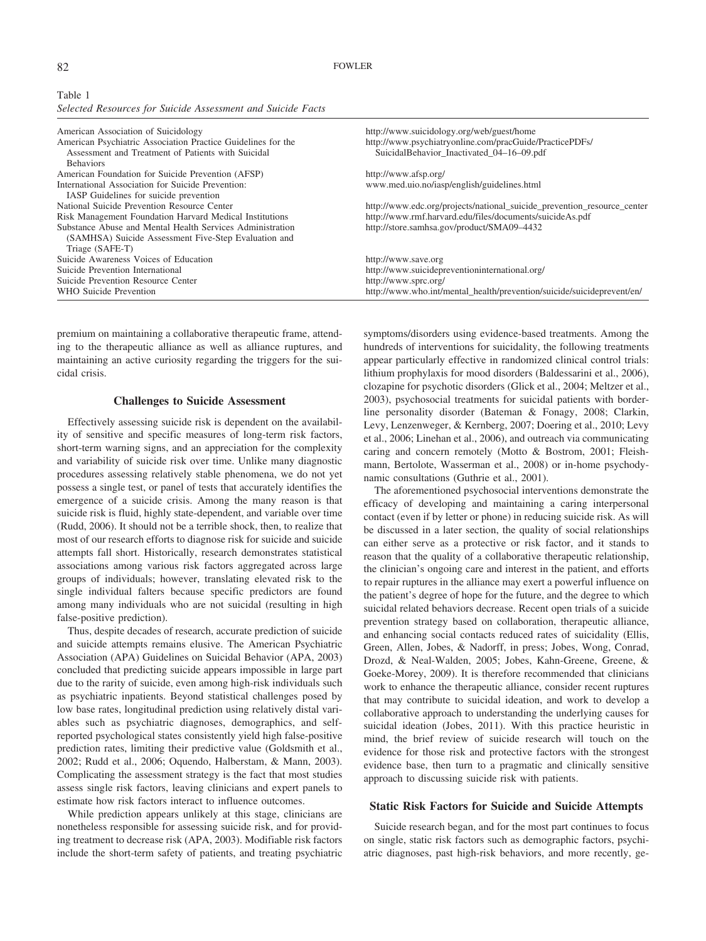| Table 1                                                     |  |  |  |
|-------------------------------------------------------------|--|--|--|
| Selected Resources for Suicide Assessment and Suicide Facts |  |  |  |

| American Association of Suicidology                          | http://www.suicidology.org/web/guest/home                               |
|--------------------------------------------------------------|-------------------------------------------------------------------------|
| American Psychiatric Association Practice Guidelines for the | http://www.psychiatryonline.com/pracGuide/PracticePDFs/                 |
| Assessment and Treatment of Patients with Suicidal           | SuicidalBehavior Inactivated 04-16-09.pdf                               |
| <b>Behaviors</b>                                             |                                                                         |
| American Foundation for Suicide Prevention (AFSP)            | http://www.afsp.org/                                                    |
| International Association for Suicide Prevention:            | www.med.uio.no/iasp/english/guidelines.html                             |
| IASP Guidelines for suicide prevention                       |                                                                         |
| National Suicide Prevention Resource Center                  | http://www.edc.org/projects/national_suicide_prevention_resource_center |
| Risk Management Foundation Harvard Medical Institutions      | http://www.rmf.harvard.edu/files/documents/suicideAs.pdf                |
| Substance Abuse and Mental Health Services Administration    | http://store.samhsa.gov/product/SMA09-4432                              |
| (SAMHSA) Suicide Assessment Five-Step Evaluation and         |                                                                         |
| Triage (SAFE-T)                                              |                                                                         |
| Suicide Awareness Voices of Education                        | http://www.save.org                                                     |
| Suicide Prevention International                             | http://www.suicidepreventioninternational.org/                          |
| Suicide Prevention Resource Center                           | http://www.sprc.org/                                                    |
| WHO Suicide Prevention                                       | http://www.who.int/mental_health/prevention/suicide/suicideprevent/en/  |

premium on maintaining a collaborative therapeutic frame, attending to the therapeutic alliance as well as alliance ruptures, and maintaining an active curiosity regarding the triggers for the suicidal crisis.

#### **Challenges to Suicide Assessment**

Effectively assessing suicide risk is dependent on the availability of sensitive and specific measures of long-term risk factors, short-term warning signs, and an appreciation for the complexity and variability of suicide risk over time. Unlike many diagnostic procedures assessing relatively stable phenomena, we do not yet possess a single test, or panel of tests that accurately identifies the emergence of a suicide crisis. Among the many reason is that suicide risk is fluid, highly state-dependent, and variable over time (Rudd, 2006). It should not be a terrible shock, then, to realize that most of our research efforts to diagnose risk for suicide and suicide attempts fall short. Historically, research demonstrates statistical associations among various risk factors aggregated across large groups of individuals; however, translating elevated risk to the single individual falters because specific predictors are found among many individuals who are not suicidal (resulting in high false-positive prediction).

Thus, despite decades of research, accurate prediction of suicide and suicide attempts remains elusive. The American Psychiatric Association (APA) Guidelines on Suicidal Behavior (APA, 2003) concluded that predicting suicide appears impossible in large part due to the rarity of suicide, even among high-risk individuals such as psychiatric inpatients. Beyond statistical challenges posed by low base rates, longitudinal prediction using relatively distal variables such as psychiatric diagnoses, demographics, and selfreported psychological states consistently yield high false-positive prediction rates, limiting their predictive value (Goldsmith et al., 2002; Rudd et al., 2006; Oquendo, Halberstam, & Mann, 2003). Complicating the assessment strategy is the fact that most studies assess single risk factors, leaving clinicians and expert panels to estimate how risk factors interact to influence outcomes.

While prediction appears unlikely at this stage, clinicians are nonetheless responsible for assessing suicide risk, and for providing treatment to decrease risk (APA, 2003). Modifiable risk factors include the short-term safety of patients, and treating psychiatric

symptoms/disorders using evidence-based treatments. Among the hundreds of interventions for suicidality, the following treatments appear particularly effective in randomized clinical control trials: lithium prophylaxis for mood disorders (Baldessarini et al., 2006), clozapine for psychotic disorders (Glick et al., 2004; Meltzer et al., 2003), psychosocial treatments for suicidal patients with borderline personality disorder (Bateman & Fonagy, 2008; Clarkin, Levy, Lenzenweger, & Kernberg, 2007; Doering et al., 2010; Levy et al., 2006; Linehan et al., 2006), and outreach via communicating caring and concern remotely (Motto & Bostrom, 2001; Fleishmann, Bertolote, Wasserman et al., 2008) or in-home psychodynamic consultations (Guthrie et al., 2001).

The aforementioned psychosocial interventions demonstrate the efficacy of developing and maintaining a caring interpersonal contact (even if by letter or phone) in reducing suicide risk. As will be discussed in a later section, the quality of social relationships can either serve as a protective or risk factor, and it stands to reason that the quality of a collaborative therapeutic relationship, the clinician's ongoing care and interest in the patient, and efforts to repair ruptures in the alliance may exert a powerful influence on the patient's degree of hope for the future, and the degree to which suicidal related behaviors decrease. Recent open trials of a suicide prevention strategy based on collaboration, therapeutic alliance, and enhancing social contacts reduced rates of suicidality (Ellis, Green, Allen, Jobes, & Nadorff, in press; Jobes, Wong, Conrad, Drozd, & Neal-Walden, 2005; Jobes, Kahn-Greene, Greene, & Goeke-Morey, 2009). It is therefore recommended that clinicians work to enhance the therapeutic alliance, consider recent ruptures that may contribute to suicidal ideation, and work to develop a collaborative approach to understanding the underlying causes for suicidal ideation (Jobes, 2011). With this practice heuristic in mind, the brief review of suicide research will touch on the evidence for those risk and protective factors with the strongest evidence base, then turn to a pragmatic and clinically sensitive approach to discussing suicide risk with patients.

#### **Static Risk Factors for Suicide and Suicide Attempts**

Suicide research began, and for the most part continues to focus on single, static risk factors such as demographic factors, psychiatric diagnoses, past high-risk behaviors, and more recently, ge-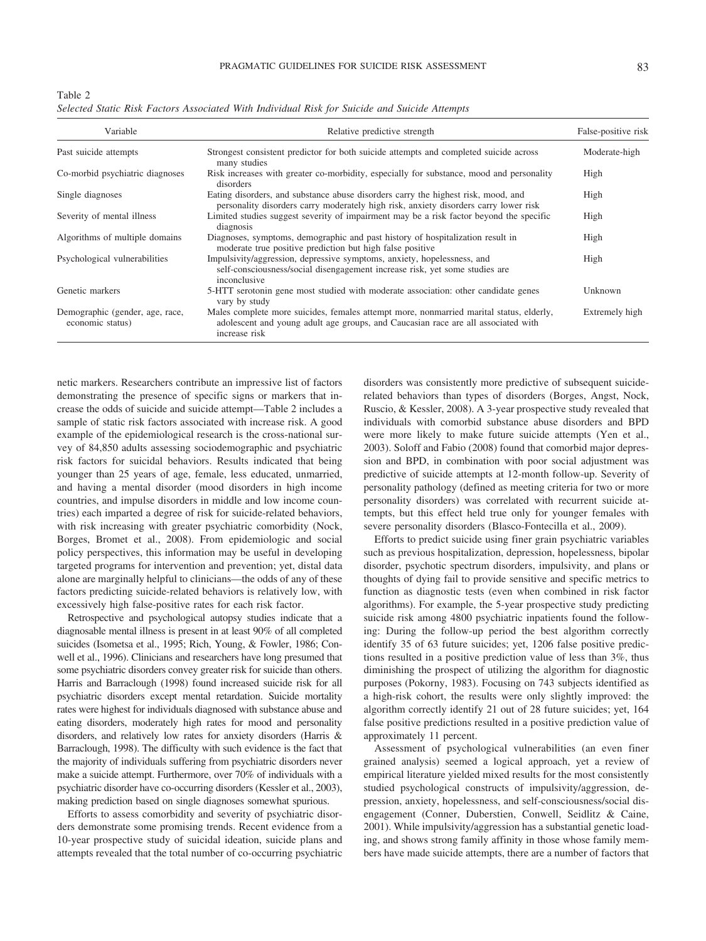| Table 2 |  |                                                                                               |  |  |  |
|---------|--|-----------------------------------------------------------------------------------------------|--|--|--|
|         |  | Selected Static Risk Factors Associated With Individual Risk for Suicide and Suicide Attempts |  |  |  |

| Variable                                            | Relative predictive strength                                                                                                                                                                  | False-positive risk |
|-----------------------------------------------------|-----------------------------------------------------------------------------------------------------------------------------------------------------------------------------------------------|---------------------|
| Past suicide attempts                               | Strongest consistent predictor for both suicide attempts and completed suicide across<br>many studies                                                                                         | Moderate-high       |
| Co-morbid psychiatric diagnoses                     | Risk increases with greater co-morbidity, especially for substance, mood and personality<br>disorders                                                                                         | High                |
| Single diagnoses                                    | Eating disorders, and substance abuse disorders carry the highest risk, mood, and<br>personality disorders carry moderately high risk, anxiety disorders carry lower risk                     | High                |
| Severity of mental illness                          | Limited studies suggest severity of impairment may be a risk factor beyond the specific<br>diagnosis                                                                                          | High                |
| Algorithms of multiple domains                      | Diagnoses, symptoms, demographic and past history of hospitalization result in<br>moderate true positive prediction but high false positive                                                   | High                |
| Psychological vulnerabilities                       | Impulsivity/aggression, depressive symptoms, anxiety, hopelessness, and<br>self-consciousness/social disengagement increase risk, yet some studies are<br>inconclusive                        | High                |
| Genetic markers                                     | 5-HTT serotonin gene most studied with moderate association: other candidate genes<br>vary by study                                                                                           | Unknown             |
| Demographic (gender, age, race,<br>economic status) | Males complete more suicides, females attempt more, nonmarried marital status, elderly,<br>adolescent and young adult age groups, and Caucasian race are all associated with<br>increase risk | Extremely high      |

netic markers. Researchers contribute an impressive list of factors demonstrating the presence of specific signs or markers that increase the odds of suicide and suicide attempt—Table 2 includes a sample of static risk factors associated with increase risk. A good example of the epidemiological research is the cross-national survey of 84,850 adults assessing sociodemographic and psychiatric risk factors for suicidal behaviors. Results indicated that being younger than 25 years of age, female, less educated, unmarried, and having a mental disorder (mood disorders in high income countries, and impulse disorders in middle and low income countries) each imparted a degree of risk for suicide-related behaviors, with risk increasing with greater psychiatric comorbidity (Nock, Borges, Bromet et al., 2008). From epidemiologic and social policy perspectives, this information may be useful in developing targeted programs for intervention and prevention; yet, distal data alone are marginally helpful to clinicians—the odds of any of these factors predicting suicide-related behaviors is relatively low, with excessively high false-positive rates for each risk factor.

Retrospective and psychological autopsy studies indicate that a diagnosable mental illness is present in at least 90% of all completed suicides (Isometsa et al., 1995; Rich, Young, & Fowler, 1986; Conwell et al., 1996). Clinicians and researchers have long presumed that some psychiatric disorders convey greater risk for suicide than others. Harris and Barraclough (1998) found increased suicide risk for all psychiatric disorders except mental retardation. Suicide mortality rates were highest for individuals diagnosed with substance abuse and eating disorders, moderately high rates for mood and personality disorders, and relatively low rates for anxiety disorders (Harris & Barraclough, 1998). The difficulty with such evidence is the fact that the majority of individuals suffering from psychiatric disorders never make a suicide attempt. Furthermore, over 70% of individuals with a psychiatric disorder have co-occurring disorders (Kessler et al., 2003), making prediction based on single diagnoses somewhat spurious.

Efforts to assess comorbidity and severity of psychiatric disorders demonstrate some promising trends. Recent evidence from a 10-year prospective study of suicidal ideation, suicide plans and attempts revealed that the total number of co-occurring psychiatric disorders was consistently more predictive of subsequent suiciderelated behaviors than types of disorders (Borges, Angst, Nock, Ruscio, & Kessler, 2008). A 3-year prospective study revealed that individuals with comorbid substance abuse disorders and BPD were more likely to make future suicide attempts (Yen et al., 2003). Soloff and Fabio (2008) found that comorbid major depression and BPD, in combination with poor social adjustment was predictive of suicide attempts at 12-month follow-up. Severity of personality pathology (defined as meeting criteria for two or more personality disorders) was correlated with recurrent suicide attempts, but this effect held true only for younger females with severe personality disorders (Blasco-Fontecilla et al., 2009).

Efforts to predict suicide using finer grain psychiatric variables such as previous hospitalization, depression, hopelessness, bipolar disorder, psychotic spectrum disorders, impulsivity, and plans or thoughts of dying fail to provide sensitive and specific metrics to function as diagnostic tests (even when combined in risk factor algorithms). For example, the 5-year prospective study predicting suicide risk among 4800 psychiatric inpatients found the following: During the follow-up period the best algorithm correctly identify 35 of 63 future suicides; yet, 1206 false positive predictions resulted in a positive prediction value of less than 3%, thus diminishing the prospect of utilizing the algorithm for diagnostic purposes (Pokorny, 1983). Focusing on 743 subjects identified as a high-risk cohort, the results were only slightly improved: the algorithm correctly identify 21 out of 28 future suicides; yet, 164 false positive predictions resulted in a positive prediction value of approximately 11 percent.

Assessment of psychological vulnerabilities (an even finer grained analysis) seemed a logical approach, yet a review of empirical literature yielded mixed results for the most consistently studied psychological constructs of impulsivity/aggression, depression, anxiety, hopelessness, and self-consciousness/social disengagement (Conner, Duberstien, Conwell, Seidlitz & Caine, 2001). While impulsivity/aggression has a substantial genetic loading, and shows strong family affinity in those whose family members have made suicide attempts, there are a number of factors that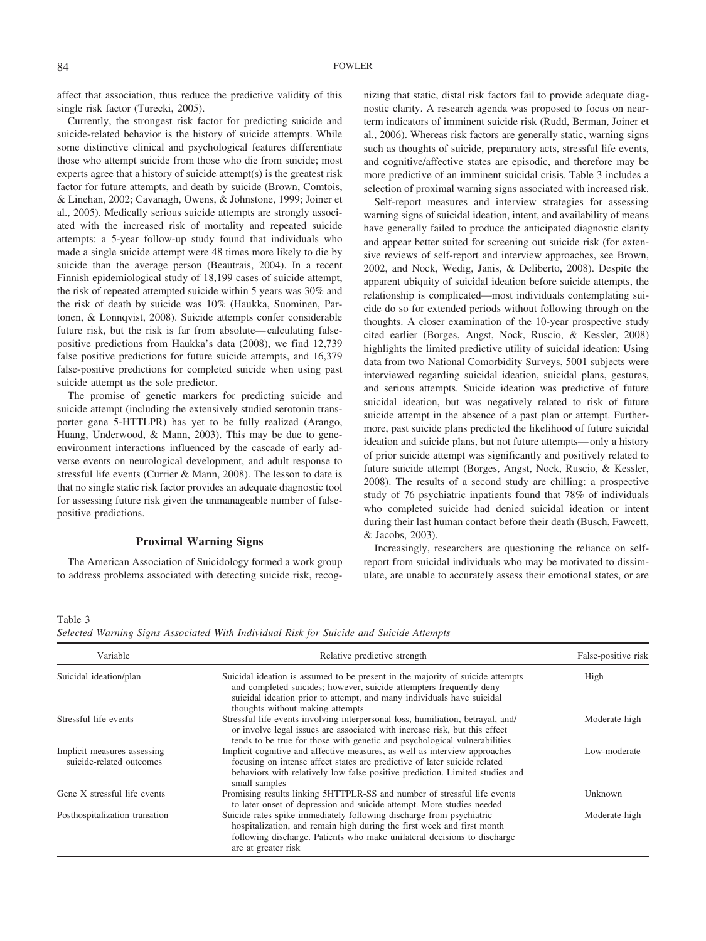affect that association, thus reduce the predictive validity of this single risk factor (Turecki, 2005).

Currently, the strongest risk factor for predicting suicide and suicide-related behavior is the history of suicide attempts. While some distinctive clinical and psychological features differentiate those who attempt suicide from those who die from suicide; most experts agree that a history of suicide attempt(s) is the greatest risk factor for future attempts, and death by suicide (Brown, Comtois, & Linehan, 2002; Cavanagh, Owens, & Johnstone, 1999; Joiner et al., 2005). Medically serious suicide attempts are strongly associated with the increased risk of mortality and repeated suicide attempts: a 5-year follow-up study found that individuals who made a single suicide attempt were 48 times more likely to die by suicide than the average person (Beautrais, 2004). In a recent Finnish epidemiological study of 18,199 cases of suicide attempt, the risk of repeated attempted suicide within 5 years was 30% and the risk of death by suicide was 10% (Haukka, Suominen, Partonen, & Lonnqvist, 2008). Suicide attempts confer considerable future risk, but the risk is far from absolute— calculating falsepositive predictions from Haukka's data (2008), we find 12,739 false positive predictions for future suicide attempts, and 16,379 false-positive predictions for completed suicide when using past suicide attempt as the sole predictor.

The promise of genetic markers for predicting suicide and suicide attempt (including the extensively studied serotonin transporter gene 5-HTTLPR) has yet to be fully realized (Arango, Huang, Underwood, & Mann, 2003). This may be due to geneenvironment interactions influenced by the cascade of early adverse events on neurological development, and adult response to stressful life events (Currier & Mann, 2008). The lesson to date is that no single static risk factor provides an adequate diagnostic tool for assessing future risk given the unmanageable number of falsepositive predictions.

## **Proximal Warning Signs**

The American Association of Suicidology formed a work group to address problems associated with detecting suicide risk, recognizing that static, distal risk factors fail to provide adequate diagnostic clarity. A research agenda was proposed to focus on nearterm indicators of imminent suicide risk (Rudd, Berman, Joiner et al., 2006). Whereas risk factors are generally static, warning signs such as thoughts of suicide, preparatory acts, stressful life events, and cognitive/affective states are episodic, and therefore may be more predictive of an imminent suicidal crisis. Table 3 includes a selection of proximal warning signs associated with increased risk.

Self-report measures and interview strategies for assessing warning signs of suicidal ideation, intent, and availability of means have generally failed to produce the anticipated diagnostic clarity and appear better suited for screening out suicide risk (for extensive reviews of self-report and interview approaches, see Brown, 2002, and Nock, Wedig, Janis, & Deliberto, 2008). Despite the apparent ubiquity of suicidal ideation before suicide attempts, the relationship is complicated—most individuals contemplating suicide do so for extended periods without following through on the thoughts. A closer examination of the 10-year prospective study cited earlier (Borges, Angst, Nock, Ruscio, & Kessler, 2008) highlights the limited predictive utility of suicidal ideation: Using data from two National Comorbidity Surveys, 5001 subjects were interviewed regarding suicidal ideation, suicidal plans, gestures, and serious attempts. Suicide ideation was predictive of future suicidal ideation, but was negatively related to risk of future suicide attempt in the absence of a past plan or attempt. Furthermore, past suicide plans predicted the likelihood of future suicidal ideation and suicide plans, but not future attempts— only a history of prior suicide attempt was significantly and positively related to future suicide attempt (Borges, Angst, Nock, Ruscio, & Kessler, 2008). The results of a second study are chilling: a prospective study of 76 psychiatric inpatients found that 78% of individuals who completed suicide had denied suicidal ideation or intent during their last human contact before their death (Busch, Fawcett, & Jacobs, 2003).

Increasingly, researchers are questioning the reliance on selfreport from suicidal individuals who may be motivated to dissimulate, are unable to accurately assess their emotional states, or are

Table 3

*Selected Warning Signs Associated With Individual Risk for Suicide and Suicide Attempts*

| Variable                                                | Relative predictive strength                                                                                                                                                                                                                                        | False-positive risk |
|---------------------------------------------------------|---------------------------------------------------------------------------------------------------------------------------------------------------------------------------------------------------------------------------------------------------------------------|---------------------|
| Suicidal ideation/plan                                  | Suicidal ideation is assumed to be present in the majority of suicide attempts<br>and completed suicides; however, suicide attempters frequently deny<br>suicidal ideation prior to attempt, and many individuals have suicidal<br>thoughts without making attempts | High                |
| Stressful life events                                   | Stressful life events involving interpersonal loss, humiliation, betrayal, and/<br>or involve legal issues are associated with increase risk, but this effect<br>tends to be true for those with genetic and psychological vulnerabilities                          | Moderate-high       |
| Implicit measures assessing<br>suicide-related outcomes | Implicit cognitive and affective measures, as well as interview approaches<br>focusing on intense affect states are predictive of later suicide related<br>behaviors with relatively low false positive prediction. Limited studies and<br>small samples            | Low-moderate        |
| Gene X stressful life events                            | Promising results linking 5HTTPLR-SS and number of stressful life events<br>to later onset of depression and suicide attempt. More studies needed                                                                                                                   | Unknown             |
| Posthospitalization transition                          | Suicide rates spike immediately following discharge from psychiatric<br>hospitalization, and remain high during the first week and first month<br>following discharge. Patients who make unilateral decisions to discharge<br>are at greater risk                   | Moderate-high       |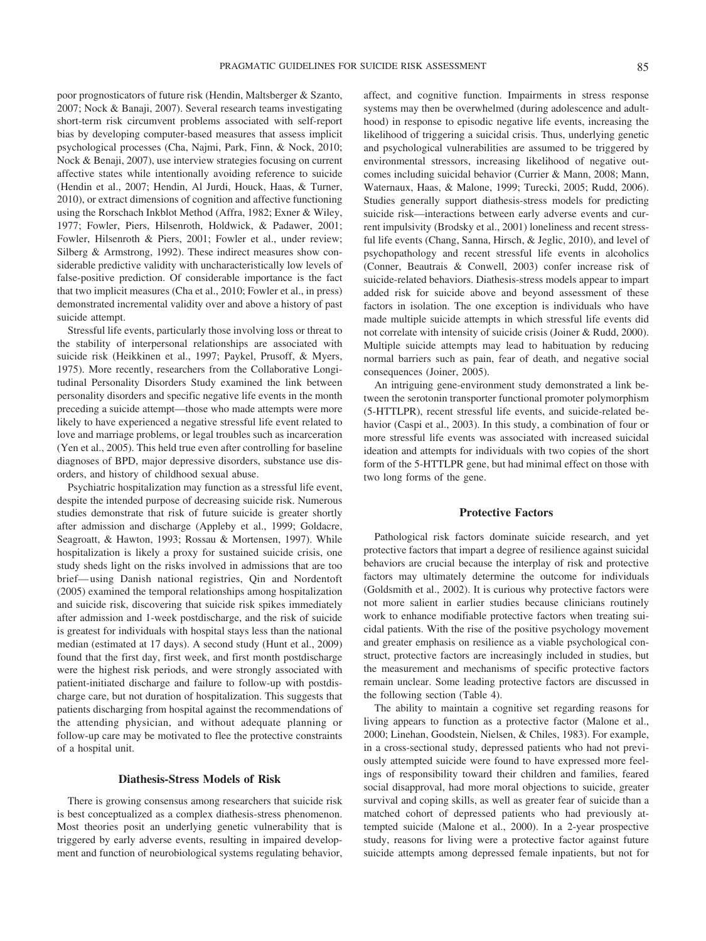poor prognosticators of future risk (Hendin, Maltsberger & Szanto, 2007; Nock & Banaji, 2007). Several research teams investigating short-term risk circumvent problems associated with self-report bias by developing computer-based measures that assess implicit psychological processes (Cha, Najmi, Park, Finn, & Nock, 2010; Nock & Benaji, 2007), use interview strategies focusing on current affective states while intentionally avoiding reference to suicide (Hendin et al., 2007; Hendin, Al Jurdi, Houck, Haas, & Turner, 2010), or extract dimensions of cognition and affective functioning using the Rorschach Inkblot Method (Affra, 1982; Exner & Wiley, 1977; Fowler, Piers, Hilsenroth, Holdwick, & Padawer, 2001; Fowler, Hilsenroth & Piers, 2001; Fowler et al., under review; Silberg & Armstrong, 1992). These indirect measures show considerable predictive validity with uncharacteristically low levels of false-positive prediction. Of considerable importance is the fact that two implicit measures (Cha et al., 2010; Fowler et al., in press) demonstrated incremental validity over and above a history of past suicide attempt.

Stressful life events, particularly those involving loss or threat to the stability of interpersonal relationships are associated with suicide risk (Heikkinen et al., 1997; Paykel, Prusoff, & Myers, 1975). More recently, researchers from the Collaborative Longitudinal Personality Disorders Study examined the link between personality disorders and specific negative life events in the month preceding a suicide attempt—those who made attempts were more likely to have experienced a negative stressful life event related to love and marriage problems, or legal troubles such as incarceration (Yen et al., 2005). This held true even after controlling for baseline diagnoses of BPD, major depressive disorders, substance use disorders, and history of childhood sexual abuse.

Psychiatric hospitalization may function as a stressful life event, despite the intended purpose of decreasing suicide risk. Numerous studies demonstrate that risk of future suicide is greater shortly after admission and discharge (Appleby et al., 1999; Goldacre, Seagroatt, & Hawton, 1993; Rossau & Mortensen, 1997). While hospitalization is likely a proxy for sustained suicide crisis, one study sheds light on the risks involved in admissions that are too brief— using Danish national registries, Qin and Nordentoft (2005) examined the temporal relationships among hospitalization and suicide risk, discovering that suicide risk spikes immediately after admission and 1-week postdischarge, and the risk of suicide is greatest for individuals with hospital stays less than the national median (estimated at 17 days). A second study (Hunt et al., 2009) found that the first day, first week, and first month postdischarge were the highest risk periods, and were strongly associated with patient-initiated discharge and failure to follow-up with postdischarge care, but not duration of hospitalization. This suggests that patients discharging from hospital against the recommendations of the attending physician, and without adequate planning or follow-up care may be motivated to flee the protective constraints of a hospital unit.

#### **Diathesis-Stress Models of Risk**

There is growing consensus among researchers that suicide risk is best conceptualized as a complex diathesis-stress phenomenon. Most theories posit an underlying genetic vulnerability that is triggered by early adverse events, resulting in impaired development and function of neurobiological systems regulating behavior, affect, and cognitive function. Impairments in stress response systems may then be overwhelmed (during adolescence and adulthood) in response to episodic negative life events, increasing the likelihood of triggering a suicidal crisis. Thus, underlying genetic and psychological vulnerabilities are assumed to be triggered by environmental stressors, increasing likelihood of negative outcomes including suicidal behavior (Currier & Mann, 2008; Mann, Waternaux, Haas, & Malone, 1999; Turecki, 2005; Rudd, 2006). Studies generally support diathesis-stress models for predicting suicide risk—interactions between early adverse events and current impulsivity (Brodsky et al., 2001) loneliness and recent stressful life events (Chang, Sanna, Hirsch, & Jeglic, 2010), and level of psychopathology and recent stressful life events in alcoholics (Conner, Beautrais & Conwell, 2003) confer increase risk of suicide-related behaviors. Diathesis-stress models appear to impart added risk for suicide above and beyond assessment of these factors in isolation. The one exception is individuals who have made multiple suicide attempts in which stressful life events did not correlate with intensity of suicide crisis (Joiner & Rudd, 2000). Multiple suicide attempts may lead to habituation by reducing normal barriers such as pain, fear of death, and negative social consequences (Joiner, 2005).

An intriguing gene-environment study demonstrated a link between the serotonin transporter functional promoter polymorphism (5-HTTLPR), recent stressful life events, and suicide-related behavior (Caspi et al., 2003). In this study, a combination of four or more stressful life events was associated with increased suicidal ideation and attempts for individuals with two copies of the short form of the 5-HTTLPR gene, but had minimal effect on those with two long forms of the gene.

# **Protective Factors**

Pathological risk factors dominate suicide research, and yet protective factors that impart a degree of resilience against suicidal behaviors are crucial because the interplay of risk and protective factors may ultimately determine the outcome for individuals (Goldsmith et al., 2002). It is curious why protective factors were not more salient in earlier studies because clinicians routinely work to enhance modifiable protective factors when treating suicidal patients. With the rise of the positive psychology movement and greater emphasis on resilience as a viable psychological construct, protective factors are increasingly included in studies, but the measurement and mechanisms of specific protective factors remain unclear. Some leading protective factors are discussed in the following section (Table 4).

The ability to maintain a cognitive set regarding reasons for living appears to function as a protective factor (Malone et al., 2000; Linehan, Goodstein, Nielsen, & Chiles, 1983). For example, in a cross-sectional study, depressed patients who had not previously attempted suicide were found to have expressed more feelings of responsibility toward their children and families, feared social disapproval, had more moral objections to suicide, greater survival and coping skills, as well as greater fear of suicide than a matched cohort of depressed patients who had previously attempted suicide (Malone et al., 2000). In a 2-year prospective study, reasons for living were a protective factor against future suicide attempts among depressed female inpatients, but not for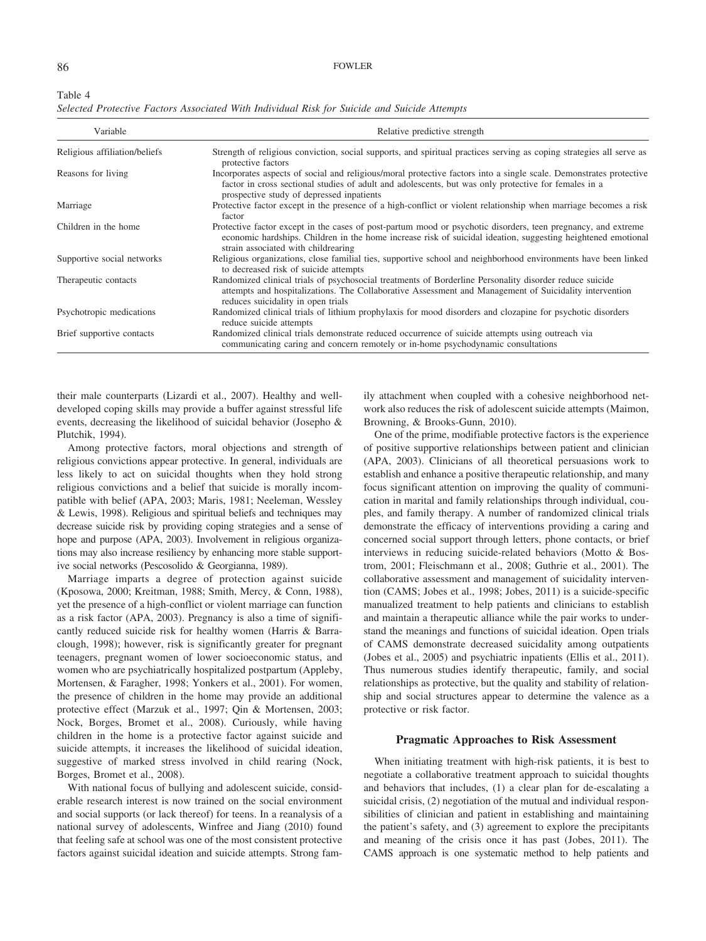# 86 FOWLER

| Table 4                                                                                      |  |
|----------------------------------------------------------------------------------------------|--|
| Selected Protective Factors Associated With Individual Risk for Suicide and Suicide Attempts |  |

| Variable                      | Relative predictive strength                                                                                                                                                                                                                                            |
|-------------------------------|-------------------------------------------------------------------------------------------------------------------------------------------------------------------------------------------------------------------------------------------------------------------------|
| Religious affiliation/beliefs | Strength of religious conviction, social supports, and spiritual practices serving as coping strategies all serve as<br>protective factors                                                                                                                              |
| Reasons for living            | Incorporates aspects of social and religious/moral protective factors into a single scale. Demonstrates protective<br>factor in cross sectional studies of adult and adolescents, but was only protective for females in a<br>prospective study of depressed inpatients |
| Marriage                      | Protective factor except in the presence of a high-conflict or violent relationship when marriage becomes a risk<br>factor                                                                                                                                              |
| Children in the home          | Protective factor except in the cases of post-partum mood or psychotic disorders, teen pregnancy, and extreme<br>economic hardships. Children in the home increase risk of suicidal ideation, suggesting heightened emotional<br>strain associated with childrearing    |
| Supportive social networks    | Religious organizations, close familial ties, supportive school and neighborhood environments have been linked<br>to decreased risk of suicide attempts                                                                                                                 |
| Therapeutic contacts          | Randomized clinical trials of psychosocial treatments of Borderline Personality disorder reduce suicide<br>attempts and hospitalizations. The Collaborative Assessment and Management of Suicidality intervention<br>reduces suicidality in open trials                 |
| Psychotropic medications      | Randomized clinical trials of lithium prophylaxis for mood disorders and clozapine for psychotic disorders<br>reduce suicide attempts                                                                                                                                   |
| Brief supportive contacts     | Randomized clinical trials demonstrate reduced occurrence of suicide attempts using outreach via<br>communicating caring and concern remotely or in-home psychodynamic consultations                                                                                    |

their male counterparts (Lizardi et al., 2007). Healthy and welldeveloped coping skills may provide a buffer against stressful life events, decreasing the likelihood of suicidal behavior (Josepho & Plutchik, 1994).

Among protective factors, moral objections and strength of religious convictions appear protective. In general, individuals are less likely to act on suicidal thoughts when they hold strong religious convictions and a belief that suicide is morally incompatible with belief (APA, 2003; Maris, 1981; Neeleman, Wessley & Lewis, 1998). Religious and spiritual beliefs and techniques may decrease suicide risk by providing coping strategies and a sense of hope and purpose (APA, 2003). Involvement in religious organizations may also increase resiliency by enhancing more stable supportive social networks (Pescosolido & Georgianna, 1989).

Marriage imparts a degree of protection against suicide (Kposowa, 2000; Kreitman, 1988; Smith, Mercy, & Conn, 1988), yet the presence of a high-conflict or violent marriage can function as a risk factor (APA, 2003). Pregnancy is also a time of significantly reduced suicide risk for healthy women (Harris & Barraclough, 1998); however, risk is significantly greater for pregnant teenagers, pregnant women of lower socioeconomic status, and women who are psychiatrically hospitalized postpartum (Appleby, Mortensen, & Faragher, 1998; Yonkers et al., 2001). For women, the presence of children in the home may provide an additional protective effect (Marzuk et al., 1997; Qin & Mortensen, 2003; Nock, Borges, Bromet et al., 2008). Curiously, while having children in the home is a protective factor against suicide and suicide attempts, it increases the likelihood of suicidal ideation, suggestive of marked stress involved in child rearing (Nock, Borges, Bromet et al., 2008).

With national focus of bullying and adolescent suicide, considerable research interest is now trained on the social environment and social supports (or lack thereof) for teens. In a reanalysis of a national survey of adolescents, Winfree and Jiang (2010) found that feeling safe at school was one of the most consistent protective factors against suicidal ideation and suicide attempts. Strong family attachment when coupled with a cohesive neighborhood network also reduces the risk of adolescent suicide attempts (Maimon, Browning, & Brooks-Gunn, 2010).

One of the prime, modifiable protective factors is the experience of positive supportive relationships between patient and clinician (APA, 2003). Clinicians of all theoretical persuasions work to establish and enhance a positive therapeutic relationship, and many focus significant attention on improving the quality of communication in marital and family relationships through individual, couples, and family therapy. A number of randomized clinical trials demonstrate the efficacy of interventions providing a caring and concerned social support through letters, phone contacts, or brief interviews in reducing suicide-related behaviors (Motto & Bostrom, 2001; Fleischmann et al., 2008; Guthrie et al., 2001). The collaborative assessment and management of suicidality intervention (CAMS; Jobes et al., 1998; Jobes, 2011) is a suicide-specific manualized treatment to help patients and clinicians to establish and maintain a therapeutic alliance while the pair works to understand the meanings and functions of suicidal ideation. Open trials of CAMS demonstrate decreased suicidality among outpatients (Jobes et al., 2005) and psychiatric inpatients (Ellis et al., 2011). Thus numerous studies identify therapeutic, family, and social relationships as protective, but the quality and stability of relationship and social structures appear to determine the valence as a protective or risk factor.

#### **Pragmatic Approaches to Risk Assessment**

When initiating treatment with high-risk patients, it is best to negotiate a collaborative treatment approach to suicidal thoughts and behaviors that includes, (1) a clear plan for de-escalating a suicidal crisis, (2) negotiation of the mutual and individual responsibilities of clinician and patient in establishing and maintaining the patient's safety, and (3) agreement to explore the precipitants and meaning of the crisis once it has past (Jobes, 2011). The CAMS approach is one systematic method to help patients and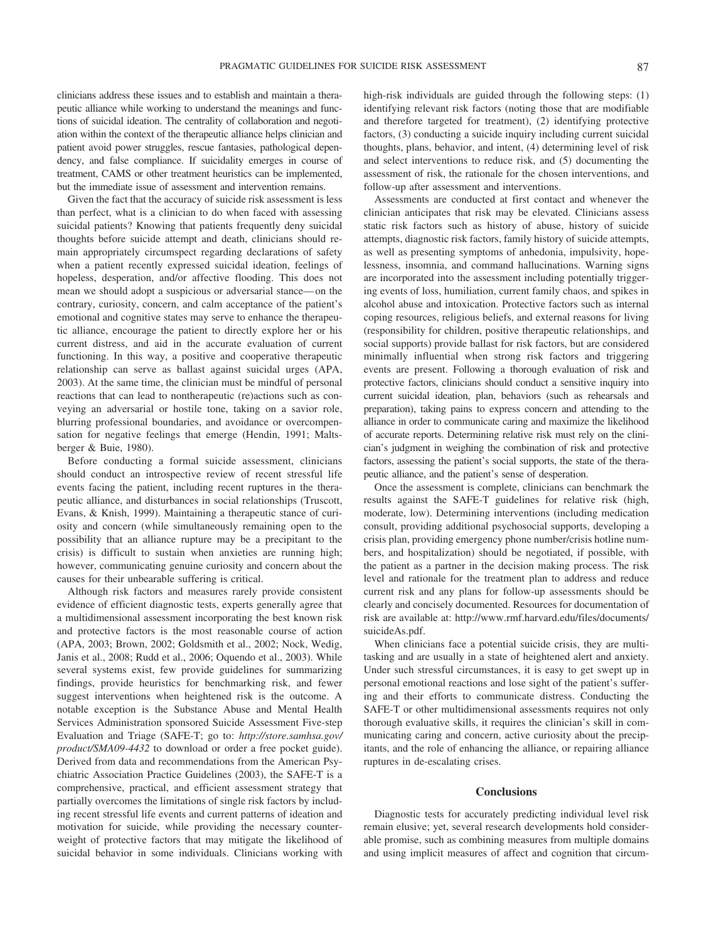clinicians address these issues and to establish and maintain a therapeutic alliance while working to understand the meanings and functions of suicidal ideation. The centrality of collaboration and negotiation within the context of the therapeutic alliance helps clinician and patient avoid power struggles, rescue fantasies, pathological dependency, and false compliance. If suicidality emerges in course of treatment, CAMS or other treatment heuristics can be implemented, but the immediate issue of assessment and intervention remains.

Given the fact that the accuracy of suicide risk assessment is less than perfect, what is a clinician to do when faced with assessing suicidal patients? Knowing that patients frequently deny suicidal thoughts before suicide attempt and death, clinicians should remain appropriately circumspect regarding declarations of safety when a patient recently expressed suicidal ideation, feelings of hopeless, desperation, and/or affective flooding. This does not mean we should adopt a suspicious or adversarial stance— on the contrary, curiosity, concern, and calm acceptance of the patient's emotional and cognitive states may serve to enhance the therapeutic alliance, encourage the patient to directly explore her or his current distress, and aid in the accurate evaluation of current functioning. In this way, a positive and cooperative therapeutic relationship can serve as ballast against suicidal urges (APA, 2003). At the same time, the clinician must be mindful of personal reactions that can lead to nontherapeutic (re)actions such as conveying an adversarial or hostile tone, taking on a savior role, blurring professional boundaries, and avoidance or overcompensation for negative feelings that emerge (Hendin, 1991; Maltsberger & Buie, 1980).

Before conducting a formal suicide assessment, clinicians should conduct an introspective review of recent stressful life events facing the patient, including recent ruptures in the therapeutic alliance, and disturbances in social relationships (Truscott, Evans, & Knish, 1999). Maintaining a therapeutic stance of curiosity and concern (while simultaneously remaining open to the possibility that an alliance rupture may be a precipitant to the crisis) is difficult to sustain when anxieties are running high; however, communicating genuine curiosity and concern about the causes for their unbearable suffering is critical.

Although risk factors and measures rarely provide consistent evidence of efficient diagnostic tests, experts generally agree that a multidimensional assessment incorporating the best known risk and protective factors is the most reasonable course of action (APA, 2003; Brown, 2002; Goldsmith et al., 2002; Nock, Wedig, Janis et al., 2008; Rudd et al., 2006; Oquendo et al., 2003). While several systems exist, few provide guidelines for summarizing findings, provide heuristics for benchmarking risk, and fewer suggest interventions when heightened risk is the outcome. A notable exception is the Substance Abuse and Mental Health Services Administration sponsored Suicide Assessment Five-step Evaluation and Triage (SAFE-T; go to: *http://store.samhsa.gov/ product/SMA09-4432* to download or order a free pocket guide). Derived from data and recommendations from the American Psychiatric Association Practice Guidelines (2003), the SAFE-T is a comprehensive, practical, and efficient assessment strategy that partially overcomes the limitations of single risk factors by including recent stressful life events and current patterns of ideation and motivation for suicide, while providing the necessary counterweight of protective factors that may mitigate the likelihood of suicidal behavior in some individuals. Clinicians working with high-risk individuals are guided through the following steps: (1) identifying relevant risk factors (noting those that are modifiable and therefore targeted for treatment), (2) identifying protective factors, (3) conducting a suicide inquiry including current suicidal thoughts, plans, behavior, and intent, (4) determining level of risk and select interventions to reduce risk, and (5) documenting the assessment of risk, the rationale for the chosen interventions, and follow-up after assessment and interventions.

Assessments are conducted at first contact and whenever the clinician anticipates that risk may be elevated. Clinicians assess static risk factors such as history of abuse, history of suicide attempts, diagnostic risk factors, family history of suicide attempts, as well as presenting symptoms of anhedonia, impulsivity, hopelessness, insomnia, and command hallucinations. Warning signs are incorporated into the assessment including potentially triggering events of loss, humiliation, current family chaos, and spikes in alcohol abuse and intoxication. Protective factors such as internal coping resources, religious beliefs, and external reasons for living (responsibility for children, positive therapeutic relationships, and social supports) provide ballast for risk factors, but are considered minimally influential when strong risk factors and triggering events are present. Following a thorough evaluation of risk and protective factors, clinicians should conduct a sensitive inquiry into current suicidal ideation, plan, behaviors (such as rehearsals and preparation), taking pains to express concern and attending to the alliance in order to communicate caring and maximize the likelihood of accurate reports. Determining relative risk must rely on the clinician's judgment in weighing the combination of risk and protective factors, assessing the patient's social supports, the state of the therapeutic alliance, and the patient's sense of desperation.

Once the assessment is complete, clinicians can benchmark the results against the SAFE-T guidelines for relative risk (high, moderate, low). Determining interventions (including medication consult, providing additional psychosocial supports, developing a crisis plan, providing emergency phone number/crisis hotline numbers, and hospitalization) should be negotiated, if possible, with the patient as a partner in the decision making process. The risk level and rationale for the treatment plan to address and reduce current risk and any plans for follow-up assessments should be clearly and concisely documented. Resources for documentation of risk are available at: http://www.rmf.harvard.edu/files/documents/ suicideAs.pdf.

When clinicians face a potential suicide crisis, they are multitasking and are usually in a state of heightened alert and anxiety. Under such stressful circumstances, it is easy to get swept up in personal emotional reactions and lose sight of the patient's suffering and their efforts to communicate distress. Conducting the SAFE-T or other multidimensional assessments requires not only thorough evaluative skills, it requires the clinician's skill in communicating caring and concern, active curiosity about the precipitants, and the role of enhancing the alliance, or repairing alliance ruptures in de-escalating crises.

# **Conclusions**

Diagnostic tests for accurately predicting individual level risk remain elusive; yet, several research developments hold considerable promise, such as combining measures from multiple domains and using implicit measures of affect and cognition that circum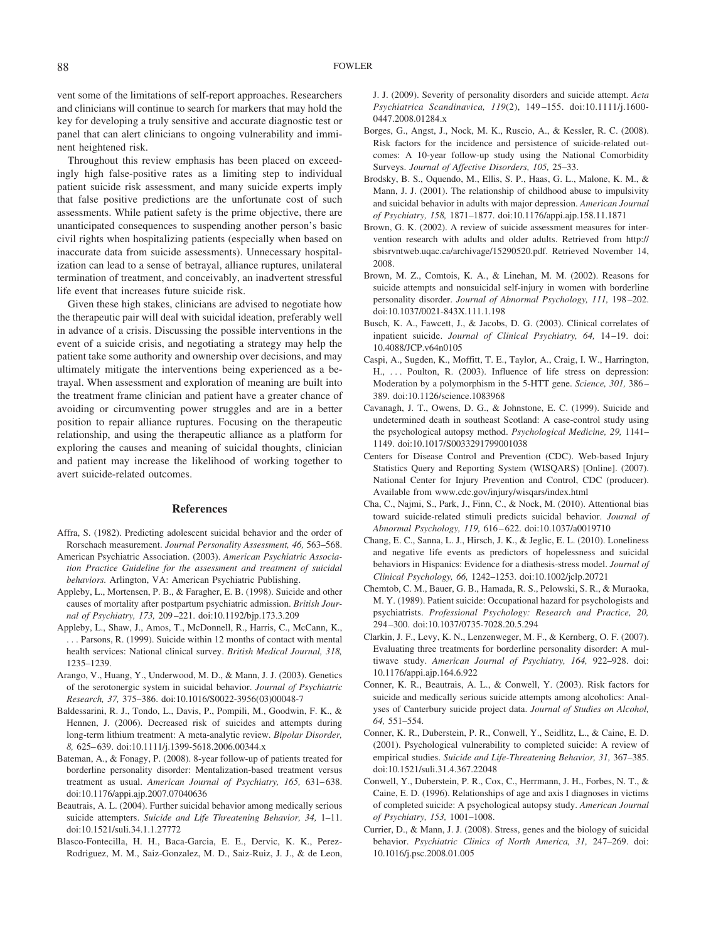vent some of the limitations of self-report approaches. Researchers and clinicians will continue to search for markers that may hold the key for developing a truly sensitive and accurate diagnostic test or panel that can alert clinicians to ongoing vulnerability and imminent heightened risk.

Throughout this review emphasis has been placed on exceedingly high false-positive rates as a limiting step to individual patient suicide risk assessment, and many suicide experts imply that false positive predictions are the unfortunate cost of such assessments. While patient safety is the prime objective, there are unanticipated consequences to suspending another person's basic civil rights when hospitalizing patients (especially when based on inaccurate data from suicide assessments). Unnecessary hospitalization can lead to a sense of betrayal, alliance ruptures, unilateral termination of treatment, and conceivably, an inadvertent stressful life event that increases future suicide risk.

Given these high stakes, clinicians are advised to negotiate how the therapeutic pair will deal with suicidal ideation, preferably well in advance of a crisis. Discussing the possible interventions in the event of a suicide crisis, and negotiating a strategy may help the patient take some authority and ownership over decisions, and may ultimately mitigate the interventions being experienced as a betrayal. When assessment and exploration of meaning are built into the treatment frame clinician and patient have a greater chance of avoiding or circumventing power struggles and are in a better position to repair alliance ruptures. Focusing on the therapeutic relationship, and using the therapeutic alliance as a platform for exploring the causes and meaning of suicidal thoughts, clinician and patient may increase the likelihood of working together to avert suicide-related outcomes.

## **References**

- Affra, S. (1982). Predicting adolescent suicidal behavior and the order of Rorschach measurement. *Journal Personality Assessment, 46,* 563–568.
- American Psychiatric Association. (2003). *American Psychiatric Association Practice Guideline for the assessment and treatment of suicidal behaviors.* Arlington, VA: American Psychiatric Publishing.
- Appleby, L., Mortensen, P. B., & Faragher, E. B. (1998). Suicide and other causes of mortality after postpartum psychiatric admission. *British Journal of Psychiatry, 173,* 209 –221. doi:10.1192/bjp.173.3.209
- Appleby, L., Shaw, J., Amos, T., McDonnell, R., Harris, C., McCann, K., . . . Parsons, R. (1999). Suicide within 12 months of contact with mental health services: National clinical survey. *British Medical Journal, 318,* 1235–1239.
- Arango, V., Huang, Y., Underwood, M. D., & Mann, J. J. (2003). Genetics of the serotonergic system in suicidal behavior. *Journal of Psychiatric Research, 37,* 375–386. doi:10.1016/S0022-3956(03)00048-7
- Baldessarini, R. J., Tondo, L., Davis, P., Pompili, M., Goodwin, F. K., & Hennen, J. (2006). Decreased risk of suicides and attempts during long-term lithium treatment: A meta-analytic review. *Bipolar Disorder, 8,* 625– 639. doi:10.1111/j.1399-5618.2006.00344.x
- Bateman, A., & Fonagy, P. (2008). 8-year follow-up of patients treated for borderline personality disorder: Mentalization-based treatment versus treatment as usual. *American Journal of Psychiatry, 165, 631-638*. doi:10.1176/appi.ajp.2007.07040636
- Beautrais, A. L. (2004). Further suicidal behavior among medically serious suicide attempters. *Suicide and Life Threatening Behavior, 34,* 1–11. doi:10.1521/suli.34.1.1.27772
- Blasco-Fontecilla, H. H., Baca-Garcia, E. E., Dervic, K. K., Perez-Rodriguez, M. M., Saiz-Gonzalez, M. D., Saiz-Ruiz, J. J., & de Leon,

J. J. (2009). Severity of personality disorders and suicide attempt. *Acta Psychiatrica Scandinavica, 119*(2), 149 –155. doi:10.1111/j.1600- 0447.2008.01284.x

- Borges, G., Angst, J., Nock, M. K., Ruscio, A., & Kessler, R. C. (2008). Risk factors for the incidence and persistence of suicide-related outcomes: A 10-year follow-up study using the National Comorbidity Surveys. *Journal of Affective Disorders, 105,* 25–33.
- Brodsky, B. S., Oquendo, M., Ellis, S. P., Haas, G. L., Malone, K. M., & Mann, J. J. (2001). The relationship of childhood abuse to impulsivity and suicidal behavior in adults with major depression. *American Journal of Psychiatry, 158,* 1871–1877. doi:10.1176/appi.ajp.158.11.1871
- Brown, G. K. (2002). A review of suicide assessment measures for intervention research with adults and older adults. Retrieved from http:// sbisrvntweb.uqac.ca/archivage/15290520.pdf. Retrieved November 14, 2008.
- Brown, M. Z., Comtois, K. A., & Linehan, M. M. (2002). Reasons for suicide attempts and nonsuicidal self-injury in women with borderline personality disorder. *Journal of Abnormal Psychology, 111,* 198 –202. doi:10.1037/0021-843X.111.1.198
- Busch, K. A., Fawcett, J., & Jacobs, D. G. (2003). Clinical correlates of inpatient suicide. *Journal of Clinical Psychiatry, 64,* 14 –19. doi: 10.4088/JCP.v64n0105
- Caspi, A., Sugden, K., Moffitt, T. E., Taylor, A., Craig, I. W., Harrington, H., ... Poulton, R. (2003). Influence of life stress on depression: Moderation by a polymorphism in the 5-HTT gene. *Science, 301,* 386 – 389. doi:10.1126/science.1083968
- Cavanagh, J. T., Owens, D. G., & Johnstone, E. C. (1999). Suicide and undetermined death in southeast Scotland: A case-control study using the psychological autopsy method. *Psychological Medicine, 29,* 1141– 1149. doi:10.1017/S0033291799001038
- Centers for Disease Control and Prevention (CDC). Web-based Injury Statistics Query and Reporting System (WISQARS) [Online]. (2007). National Center for Injury Prevention and Control, CDC (producer). Available from www.cdc.gov/injury/wisqars/index.html
- Cha, C., Najmi, S., Park, J., Finn, C., & Nock, M. (2010). Attentional bias toward suicide-related stimuli predicts suicidal behavior. *Journal of Abnormal Psychology, 119,* 616 – 622. doi:10.1037/a0019710
- Chang, E. C., Sanna, L. J., Hirsch, J. K., & Jeglic, E. L. (2010). Loneliness and negative life events as predictors of hopelessness and suicidal behaviors in Hispanics: Evidence for a diathesis-stress model. *Journal of Clinical Psychology, 66,* 1242–1253. doi:10.1002/jclp.20721
- Chemtob, C. M., Bauer, G. B., Hamada, R. S., Pelowski, S. R., & Muraoka, M. Y. (1989). Patient suicide: Occupational hazard for psychologists and psychiatrists. *Professional Psychology: Research and Practice, 20,* 294 –300. doi:10.1037/0735-7028.20.5.294
- Clarkin, J. F., Levy, K. N., Lenzenweger, M. F., & Kernberg, O. F. (2007). Evaluating three treatments for borderline personality disorder: A multiwave study. *American Journal of Psychiatry, 164,* 922–928. doi: 10.1176/appi.ajp.164.6.922
- Conner, K. R., Beautrais, A. L., & Conwell, Y. (2003). Risk factors for suicide and medically serious suicide attempts among alcoholics: Analyses of Canterbury suicide project data. *Journal of Studies on Alcohol, 64,* 551–554.
- Conner, K. R., Duberstein, P. R., Conwell, Y., Seidlitz, L., & Caine, E. D. (2001). Psychological vulnerability to completed suicide: A review of empirical studies. *Suicide and Life-Threatening Behavior, 31,* 367–385. doi:10.1521/suli.31.4.367.22048
- Conwell, Y., Duberstein, P. R., Cox, C., Herrmann, J. H., Forbes, N. T., & Caine, E. D. (1996). Relationships of age and axis I diagnoses in victims of completed suicide: A psychological autopsy study. *American Journal of Psychiatry, 153,* 1001–1008.
- Currier, D., & Mann, J. J. (2008). Stress, genes and the biology of suicidal behavior. *Psychiatric Clinics of North America, 31,* 247–269. doi: 10.1016/j.psc.2008.01.005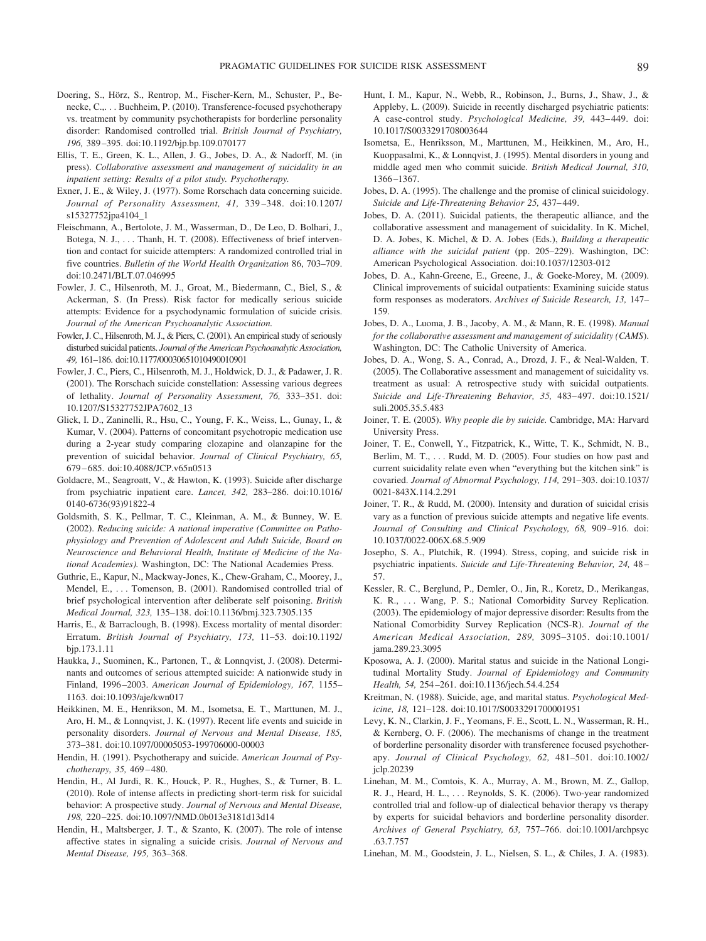- Doering, S., Hörz, S., Rentrop, M., Fischer-Kern, M., Schuster, P., Benecke, C.,. . . Buchheim, P. (2010). Transference-focused psychotherapy vs. treatment by community psychotherapists for borderline personality disorder: Randomised controlled trial. *British Journal of Psychiatry, 196,* 389 –395. doi:10.1192/bjp.bp.109.070177
- Ellis, T. E., Green, K. L., Allen, J. G., Jobes, D. A., & Nadorff, M. (in press). *Collaborative assessment and management of suicidality in an inpatient setting: Results of a pilot study. Psychotherapy.*
- Exner, J. E., & Wiley, J. (1977). Some Rorschach data concerning suicide. *Journal of Personality Assessment, 41,* 339 –348. doi:10.1207/ s15327752jpa4104\_1
- Fleischmann, A., Bertolote, J. M., Wasserman, D., De Leo, D. Bolhari, J., Botega, N. J., . . . Thanh, H. T. (2008). Effectiveness of brief intervention and contact for suicide attempters: A randomized controlled trial in five countries. *Bulletin of the World Health Organization* 86, 703–709. doi:10.2471/BLT.07.046995
- Fowler, J. C., Hilsenroth, M. J., Groat, M., Biedermann, C., Biel, S., & Ackerman, S. (In Press). Risk factor for medically serious suicide attempts: Evidence for a psychodynamic formulation of suicide crisis. *Journal of the American Psychoanalytic Association.*
- Fowler, J. C., Hilsenroth, M. J., & Piers, C. (2001). An empirical study of seriously disturbed suicidal patients. *Journal of the American Psychoanalytic Association, 49,* 161–186. doi:10.1177/00030651010490010901
- Fowler, J. C., Piers, C., Hilsenroth, M. J., Holdwick, D. J., & Padawer, J. R. (2001). The Rorschach suicide constellation: Assessing various degrees of lethality. *Journal of Personality Assessment, 76,* 333–351. doi: 10.1207/S15327752JPA7602\_13
- Glick, I. D., Zaninelli, R., Hsu, C., Young, F. K., Weiss, L., Gunay, I., & Kumar, V. (2004). Patterns of concomitant psychotropic medication use during a 2-year study comparing clozapine and olanzapine for the prevention of suicidal behavior. *Journal of Clinical Psychiatry, 65,* 679 – 685. doi:10.4088/JCP.v65n0513
- Goldacre, M., Seagroatt, V., & Hawton, K. (1993). Suicide after discharge from psychiatric inpatient care. *Lancet, 342,* 283–286. doi:10.1016/ 0140-6736(93)91822-4
- Goldsmith, S. K., Pellmar, T. C., Kleinman, A. M., & Bunney, W. E. (2002). *Reducing suicide: A national imperative (Committee on Pathophysiology and Prevention of Adolescent and Adult Suicide, Board on Neuroscience and Behavioral Health, Institute of Medicine of the National Academies).* Washington, DC: The National Academies Press.
- Guthrie, E., Kapur, N., Mackway-Jones, K., Chew-Graham, C., Moorey, J., Mendel, E., . . . Tomenson, B. (2001). Randomised controlled trial of brief psychological intervention after deliberate self poisoning. *British Medical Journal, 323,* 135–138. doi:10.1136/bmj.323.7305.135
- Harris, E., & Barraclough, B. (1998). Excess mortality of mental disorder: Erratum. *British Journal of Psychiatry, 173,* 11–53. doi:10.1192/ bjp.173.1.11
- Haukka, J., Suominen, K., Partonen, T., & Lonnqvist, J. (2008). Determinants and outcomes of serious attempted suicide: A nationwide study in Finland, 1996 –2003. *American Journal of Epidemiology, 167,* 1155– 1163. doi:10.1093/aje/kwn017
- Heikkinen, M. E., Henrikson, M. M., Isometsa, E. T., Marttunen, M. J., Aro, H. M., & Lonnqvist, J. K. (1997). Recent life events and suicide in personality disorders. *Journal of Nervous and Mental Disease, 185,* 373–381. doi:10.1097/00005053-199706000-00003
- Hendin, H. (1991). Psychotherapy and suicide. *American Journal of Psychotherapy, 35,* 469 – 480.
- Hendin, H., Al Jurdi, R. K., Houck, P. R., Hughes, S., & Turner, B. L. (2010). Role of intense affects in predicting short-term risk for suicidal behavior: A prospective study. *Journal of Nervous and Mental Disease, 198,* 220 –225. doi:10.1097/NMD.0b013e3181d13d14
- Hendin, H., Maltsberger, J. T., & Szanto, K. (2007). The role of intense affective states in signaling a suicide crisis. *Journal of Nervous and Mental Disease, 195,* 363–368.
- Hunt, I. M., Kapur, N., Webb, R., Robinson, J., Burns, J., Shaw, J., & Appleby, L. (2009). Suicide in recently discharged psychiatric patients: A case-control study. *Psychological Medicine, 39,* 443– 449. doi: 10.1017/S0033291708003644
- Isometsa, E., Henriksson, M., Marttunen, M., Heikkinen, M., Aro, H., Kuoppasalmi, K., & Lonnqvist, J. (1995). Mental disorders in young and middle aged men who commit suicide. *British Medical Journal, 310,* 1366 –1367.
- Jobes, D. A. (1995). The challenge and the promise of clinical suicidology. *Suicide and Life-Threatening Behavior 25,* 437– 449.
- Jobes, D. A. (2011). Suicidal patients, the therapeutic alliance, and the collaborative assessment and management of suicidality. In K. Michel, D. A. Jobes, K. Michel, & D. A. Jobes (Eds.), *Building a therapeutic alliance with the suicidal patient* (pp. 205–229). Washington, DC: American Psychological Association. doi:10.1037/12303-012
- Jobes, D. A., Kahn-Greene, E., Greene, J., & Goeke-Morey, M. (2009). Clinical improvements of suicidal outpatients: Examining suicide status form responses as moderators. *Archives of Suicide Research, 13,* 147– 159.
- Jobes, D. A., Luoma, J. B., Jacoby, A. M., & Mann, R. E. (1998). *Manual for the collaborative assessment and management of suicidality (CAMS*). Washington, DC: The Catholic University of America.
- Jobes, D. A., Wong, S. A., Conrad, A., Drozd, J. F., & Neal-Walden, T. (2005). The Collaborative assessment and management of suicidality vs. treatment as usual: A retrospective study with suicidal outpatients. *Suicide and Life-Threatening Behavior, 35,* 483– 497. doi:10.1521/ suli.2005.35.5.483
- Joiner, T. E. (2005). *Why people die by suicide.* Cambridge, MA: Harvard University Press.
- Joiner, T. E., Conwell, Y., Fitzpatrick, K., Witte, T. K., Schmidt, N. B., Berlim, M. T., ... Rudd, M. D. (2005). Four studies on how past and current suicidality relate even when "everything but the kitchen sink" is covaried. *Journal of Abnormal Psychology, 114,* 291–303. doi:10.1037/ 0021-843X.114.2.291
- Joiner, T. R., & Rudd, M. (2000). Intensity and duration of suicidal crisis vary as a function of previous suicide attempts and negative life events. *Journal of Consulting and Clinical Psychology, 68,* 909 –916. doi: 10.1037/0022-006X.68.5.909
- Josepho, S. A., Plutchik, R. (1994). Stress, coping, and suicide risk in psychiatric inpatients. *Suicide and Life-Threatening Behavior, 24,* 48 – 57.
- Kessler, R. C., Berglund, P., Demler, O., Jin, R., Koretz, D., Merikangas, K. R., ... Wang, P. S.; National Comorbidity Survey Replication. (2003). The epidemiology of major depressive disorder: Results from the National Comorbidity Survey Replication (NCS-R). *Journal of the American Medical Association, 289,* 3095–3105. doi:10.1001/ jama.289.23.3095
- Kposowa, A. J. (2000). Marital status and suicide in the National Longitudinal Mortality Study. *Journal of Epidemiology and Community Health, 54,* 254 –261. doi:10.1136/jech.54.4.254
- Kreitman, N. (1988). Suicide, age, and marital status. *Psychological Medicine, 18,* 121–128. doi:10.1017/S0033291700001951
- Levy, K. N., Clarkin, J. F., Yeomans, F. E., Scott, L. N., Wasserman, R. H., & Kernberg, O. F. (2006). The mechanisms of change in the treatment of borderline personality disorder with transference focused psychotherapy. *Journal of Clinical Psychology, 62,* 481–501. doi:10.1002/ jclp.20239
- Linehan, M. M., Comtois, K. A., Murray, A. M., Brown, M. Z., Gallop, R. J., Heard, H. L., . . . Reynolds, S. K. (2006). Two-year randomized controlled trial and follow-up of dialectical behavior therapy vs therapy by experts for suicidal behaviors and borderline personality disorder. *Archives of General Psychiatry, 63,* 757–766. doi:10.1001/archpsyc .63.7.757
- Linehan, M. M., Goodstein, J. L., Nielsen, S. L., & Chiles, J. A. (1983).